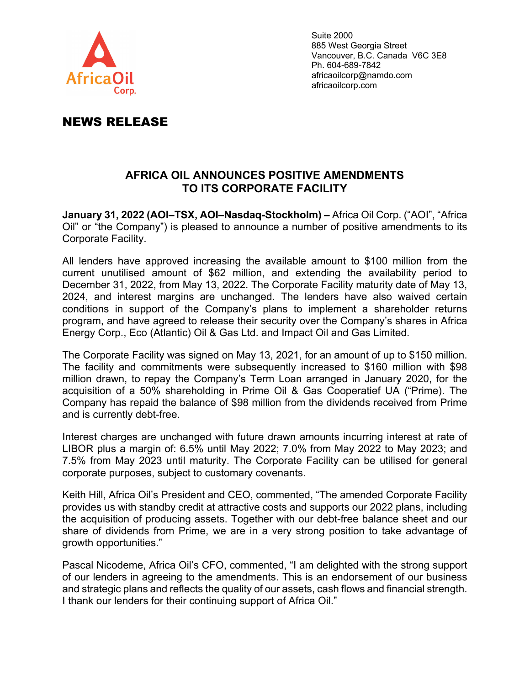

Suite 2000 885 West Georgia Street Vancouver, B.C. Canada V6C 3E8 Ph. 604-689-7842 africaoilcorp@namdo.com africaoilcorp.com

## NEWS RELEASE

## **AFRICA OIL ANNOUNCES POSITIVE AMENDMENTS TO ITS CORPORATE FACILITY**

**January 31, 2022 (AOI–TSX, AOI–Nasdaq-Stockholm) –** Africa Oil Corp. ("AOI", "Africa Oil" or "the Company") is pleased to announce a number of positive amendments to its Corporate Facility.

All lenders have approved increasing the available amount to \$100 million from the current unutilised amount of \$62 million, and extending the availability period to December 31, 2022, from May 13, 2022. The Corporate Facility maturity date of May 13, 2024, and interest margins are unchanged. The lenders have also waived certain conditions in support of the Company's plans to implement a shareholder returns program, and have agreed to release their security over the Company's shares in Africa Energy Corp., Eco (Atlantic) Oil & Gas Ltd. and Impact Oil and Gas Limited.

The Corporate Facility was signed on May 13, 2021, for an amount of up to \$150 million. The facility and commitments were subsequently increased to \$160 million with \$98 million drawn, to repay the Company's Term Loan arranged in January 2020, for the acquisition of a 50% shareholding in Prime Oil & Gas Cooperatief UA ("Prime). The Company has repaid the balance of \$98 million from the dividends received from Prime and is currently debt-free.

Interest charges are unchanged with future drawn amounts incurring interest at rate of LIBOR plus a margin of: 6.5% until May 2022; 7.0% from May 2022 to May 2023; and 7.5% from May 2023 until maturity. The Corporate Facility can be utilised for general corporate purposes, subject to customary covenants.

Keith Hill, Africa Oil's President and CEO, commented, "The amended Corporate Facility provides us with standby credit at attractive costs and supports our 2022 plans, including the acquisition of producing assets. Together with our debt-free balance sheet and our share of dividends from Prime, we are in a very strong position to take advantage of growth opportunities."

Pascal Nicodeme, Africa Oil's CFO, commented, "I am delighted with the strong support of our lenders in agreeing to the amendments. This is an endorsement of our business and strategic plans and reflects the quality of our assets, cash flows and financial strength. I thank our lenders for their continuing support of Africa Oil."